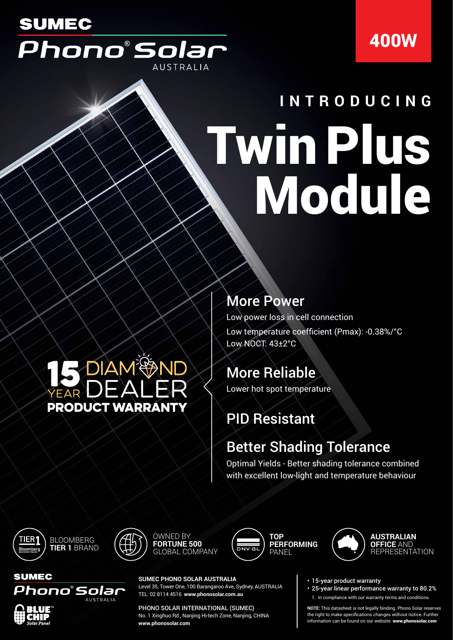## **SUMEC** Phono°Solar **AUSTRALIA**

## 400W

# Twin Plus **Module INTRODUCING**

## **5 DIAM PAND PRODUCT WARRANTY**

#### More Power

Low power loss in cell connection Low temperature coefficient (Pmax): -0.38%/°C Low NOCT: 43±2°C

### More Reliable

Lower hot spot temperature

## PID Resistant

### Better Shading Tolerance

Optimal Yields - Better shading tolerance combined with excellent low-light and temperature behaviour



**SUMEC** 



OWNED BY **FORTUNE 500** GLOBAL COMPANY





• 15-year product warranty

• 25-year linear performance warranty to 80.2% 1. In compliance with our warranty terms and conditions.

**NOTE:** This datasheet is not legally binding. Phono Solar reserves the right to make specifications changes without notice. Further information can be found on our website: www.phonosolar.com



#### PHONO SOLAR INTERNATIONAL (SUMEC)

No. 1 Xinghuo Rd., Nanjing Hi-tech Zone, Nanjing, CHINA **www.phonosolar.com**